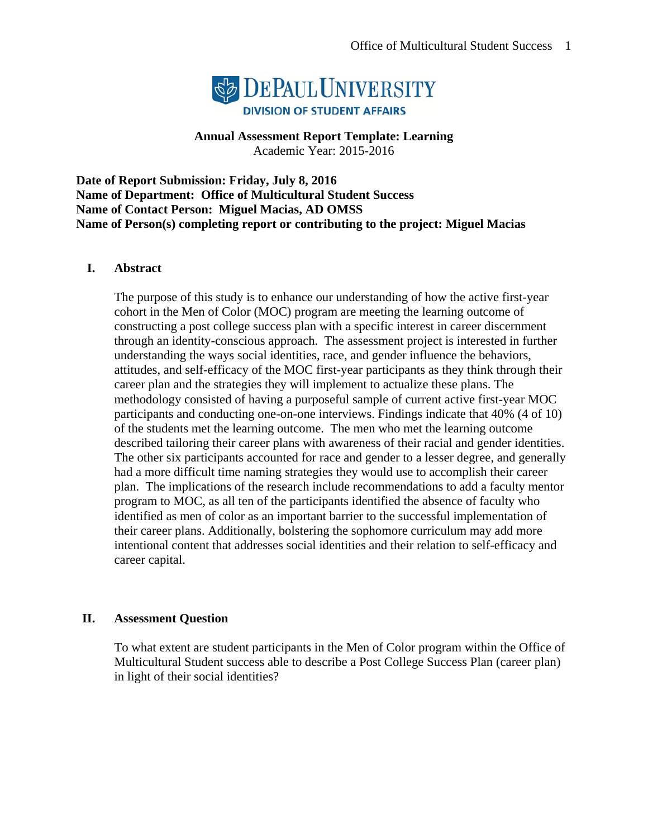

**Annual Assessment Report Template: Learning** 

Academic Year: 2015-2016

**Date of Report Submission: Friday, July 8, 2016 Name of Department: Office of Multicultural Student Success Name of Contact Person: Miguel Macias, AD OMSS Name of Person(s) completing report or contributing to the project: Miguel Macias** 

## **I. Abstract**

The purpose of this study is to enhance our understanding of how the active first-year cohort in the Men of Color (MOC) program are meeting the learning outcome of constructing a post college success plan with a specific interest in career discernment through an identity-conscious approach. The assessment project is interested in further understanding the ways social identities, race, and gender influence the behaviors, attitudes, and self-efficacy of the MOC first-year participants as they think through their career plan and the strategies they will implement to actualize these plans. The methodology consisted of having a purposeful sample of current active first-year MOC participants and conducting one-on-one interviews. Findings indicate that 40% (4 of 10) of the students met the learning outcome. The men who met the learning outcome described tailoring their career plans with awareness of their racial and gender identities. The other six participants accounted for race and gender to a lesser degree, and generally had a more difficult time naming strategies they would use to accomplish their career plan. The implications of the research include recommendations to add a faculty mentor program to MOC, as all ten of the participants identified the absence of faculty who identified as men of color as an important barrier to the successful implementation of their career plans. Additionally, bolstering the sophomore curriculum may add more intentional content that addresses social identities and their relation to self-efficacy and career capital.

#### **II. Assessment Question**

To what extent are student participants in the Men of Color program within the Office of Multicultural Student success able to describe a Post College Success Plan (career plan) in light of their social identities?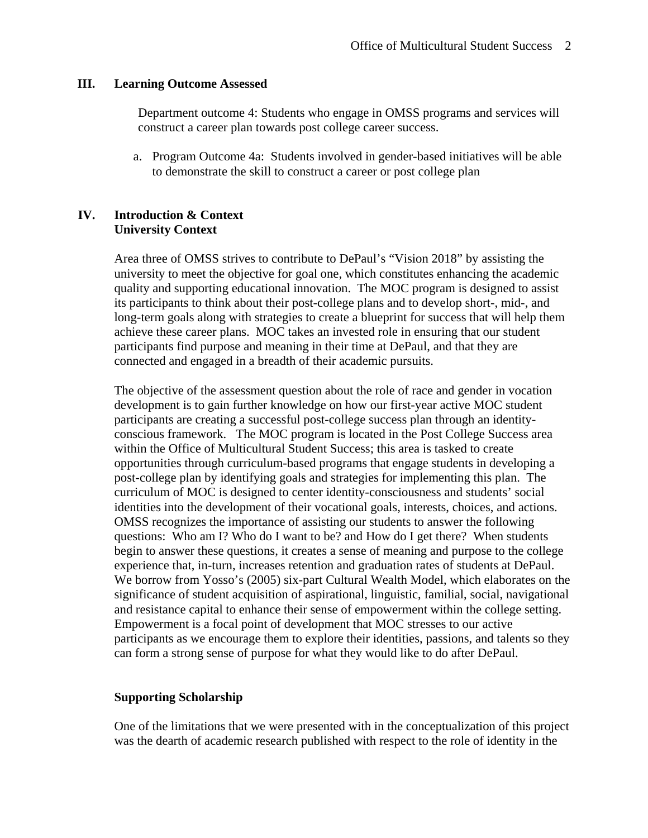#### **III. Learning Outcome Assessed**

Department outcome 4: Students who engage in OMSS programs and services will construct a career plan towards post college career success.

a. Program Outcome 4a: Students involved in gender-based initiatives will be able to demonstrate the skill to construct a career or post college plan

#### **IV. Introduction & Context University Context**

Area three of OMSS strives to contribute to DePaul's "Vision 2018" by assisting the university to meet the objective for goal one, which constitutes enhancing the academic quality and supporting educational innovation. The MOC program is designed to assist its participants to think about their post-college plans and to develop short-, mid-, and long-term goals along with strategies to create a blueprint for success that will help them achieve these career plans. MOC takes an invested role in ensuring that our student participants find purpose and meaning in their time at DePaul, and that they are connected and engaged in a breadth of their academic pursuits.

The objective of the assessment question about the role of race and gender in vocation development is to gain further knowledge on how our first-year active MOC student participants are creating a successful post-college success plan through an identityconscious framework. The MOC program is located in the Post College Success area within the Office of Multicultural Student Success; this area is tasked to create opportunities through curriculum-based programs that engage students in developing a post-college plan by identifying goals and strategies for implementing this plan. The curriculum of MOC is designed to center identity-consciousness and students' social identities into the development of their vocational goals, interests, choices, and actions. OMSS recognizes the importance of assisting our students to answer the following questions: Who am I? Who do I want to be? and How do I get there? When students begin to answer these questions, it creates a sense of meaning and purpose to the college experience that, in-turn, increases retention and graduation rates of students at DePaul. We borrow from Yosso's (2005) six-part Cultural Wealth Model, which elaborates on the significance of student acquisition of aspirational, linguistic, familial, social, navigational and resistance capital to enhance their sense of empowerment within the college setting. Empowerment is a focal point of development that MOC stresses to our active participants as we encourage them to explore their identities, passions, and talents so they can form a strong sense of purpose for what they would like to do after DePaul.

#### **Supporting Scholarship**

One of the limitations that we were presented with in the conceptualization of this project was the dearth of academic research published with respect to the role of identity in the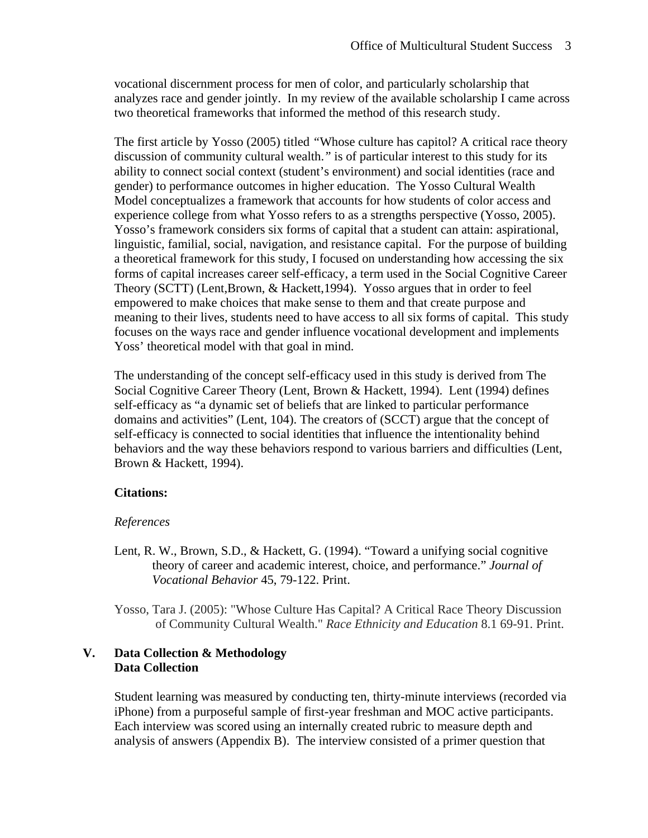vocational discernment process for men of color, and particularly scholarship that analyzes race and gender jointly. In my review of the available scholarship I came across two theoretical frameworks that informed the method of this research study.

The first article by Yosso (2005) titled *"*Whose culture has capitol? A critical race theory discussion of community cultural wealth.*"* is of particular interest to this study for its ability to connect social context (student's environment) and social identities (race and gender) to performance outcomes in higher education. The Yosso Cultural Wealth Model conceptualizes a framework that accounts for how students of color access and experience college from what Yosso refers to as a strengths perspective (Yosso, 2005). Yosso's framework considers six forms of capital that a student can attain: aspirational, linguistic, familial, social, navigation, and resistance capital. For the purpose of building a theoretical framework for this study, I focused on understanding how accessing the six forms of capital increases career self-efficacy, a term used in the Social Cognitive Career Theory (SCTT) (Lent,Brown, & Hackett,1994). Yosso argues that in order to feel empowered to make choices that make sense to them and that create purpose and meaning to their lives, students need to have access to all six forms of capital. This study focuses on the ways race and gender influence vocational development and implements Yoss' theoretical model with that goal in mind.

The understanding of the concept self-efficacy used in this study is derived from The Social Cognitive Career Theory (Lent, Brown & Hackett, 1994). Lent (1994) defines self-efficacy as "a dynamic set of beliefs that are linked to particular performance domains and activities" (Lent, 104). The creators of (SCCT) argue that the concept of self-efficacy is connected to social identities that influence the intentionality behind behaviors and the way these behaviors respond to various barriers and difficulties (Lent, Brown & Hackett, 1994).

#### **Citations:**

#### *References*

- Lent, R. W., Brown, S.D., & Hackett, G. (1994). "Toward a unifying social cognitive theory of career and academic interest, choice, and performance." *Journal of Vocational Behavior* 45, 79-122. Print.
- Yosso, Tara J. (2005): "Whose Culture Has Capital? A Critical Race Theory Discussion of Community Cultural Wealth." *Race Ethnicity and Education* 8.1 69-91. Print.

## **V. Data Collection & Methodology Data Collection**

Student learning was measured by conducting ten, thirty-minute interviews (recorded via iPhone) from a purposeful sample of first-year freshman and MOC active participants. Each interview was scored using an internally created rubric to measure depth and analysis of answers (Appendix B). The interview consisted of a primer question that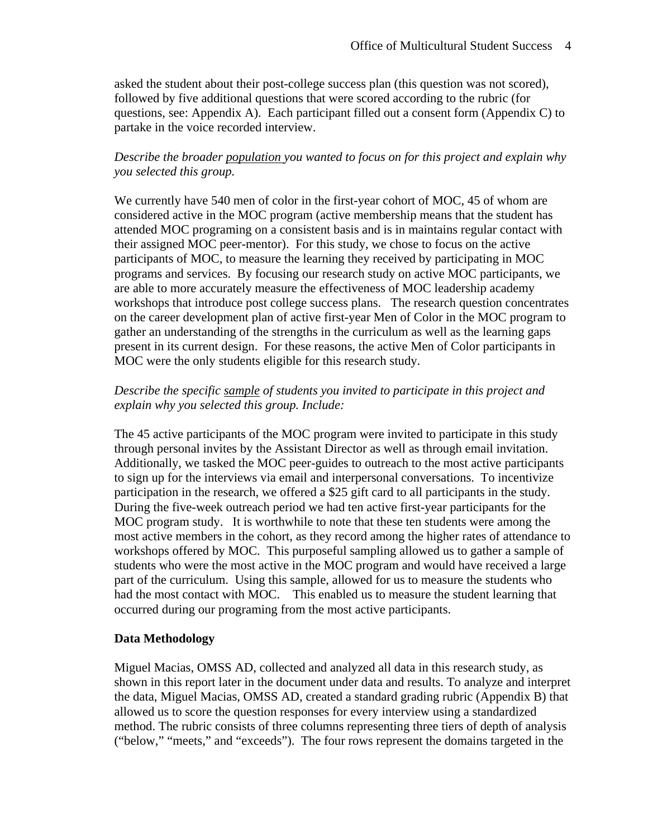asked the student about their post-college success plan (this question was not scored), followed by five additional questions that were scored according to the rubric (for questions, see: Appendix A). Each participant filled out a consent form (Appendix C) to partake in the voice recorded interview.

## *Describe the broader population you wanted to focus on for this project and explain why you selected this group.*

We currently have 540 men of color in the first-year cohort of MOC, 45 of whom are considered active in the MOC program (active membership means that the student has attended MOC programing on a consistent basis and is in maintains regular contact with their assigned MOC peer-mentor). For this study, we chose to focus on the active participants of MOC, to measure the learning they received by participating in MOC programs and services. By focusing our research study on active MOC participants, we are able to more accurately measure the effectiveness of MOC leadership academy workshops that introduce post college success plans. The research question concentrates on the career development plan of active first-year Men of Color in the MOC program to gather an understanding of the strengths in the curriculum as well as the learning gaps present in its current design. For these reasons, the active Men of Color participants in MOC were the only students eligible for this research study.

## *Describe the specific sample of students you invited to participate in this project and explain why you selected this group. Include:*

The 45 active participants of the MOC program were invited to participate in this study through personal invites by the Assistant Director as well as through email invitation. Additionally, we tasked the MOC peer-guides to outreach to the most active participants to sign up for the interviews via email and interpersonal conversations. To incentivize participation in the research, we offered a \$25 gift card to all participants in the study. During the five-week outreach period we had ten active first-year participants for the MOC program study. It is worthwhile to note that these ten students were among the most active members in the cohort, as they record among the higher rates of attendance to workshops offered by MOC. This purposeful sampling allowed us to gather a sample of students who were the most active in the MOC program and would have received a large part of the curriculum. Using this sample, allowed for us to measure the students who had the most contact with MOC. This enabled us to measure the student learning that occurred during our programing from the most active participants.

## **Data Methodology**

Miguel Macias, OMSS AD, collected and analyzed all data in this research study, as shown in this report later in the document under data and results. To analyze and interpret the data, Miguel Macias, OMSS AD, created a standard grading rubric (Appendix B) that allowed us to score the question responses for every interview using a standardized method. The rubric consists of three columns representing three tiers of depth of analysis ("below," "meets," and "exceeds"). The four rows represent the domains targeted in the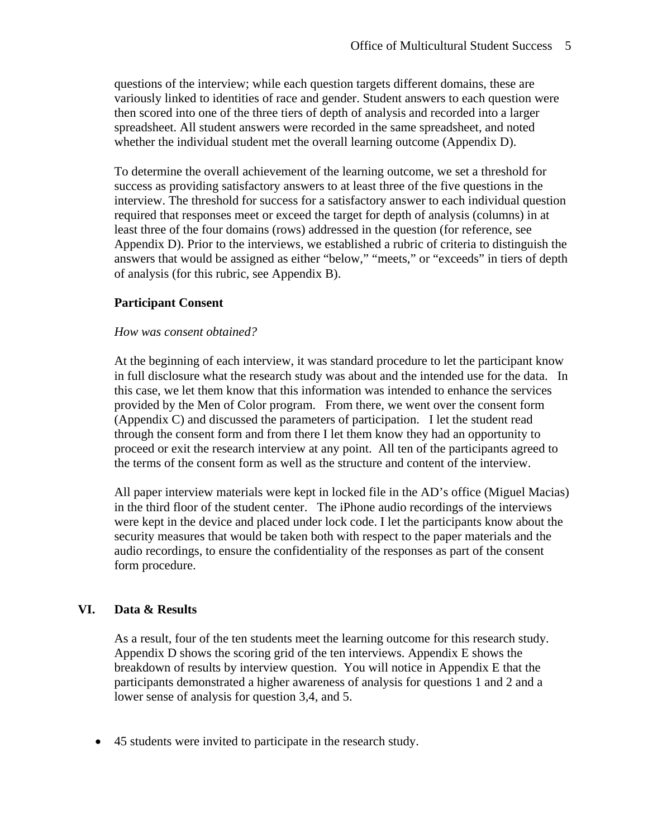questions of the interview; while each question targets different domains, these are variously linked to identities of race and gender. Student answers to each question were then scored into one of the three tiers of depth of analysis and recorded into a larger spreadsheet. All student answers were recorded in the same spreadsheet, and noted whether the individual student met the overall learning outcome (Appendix D).

To determine the overall achievement of the learning outcome, we set a threshold for success as providing satisfactory answers to at least three of the five questions in the interview. The threshold for success for a satisfactory answer to each individual question required that responses meet or exceed the target for depth of analysis (columns) in at least three of the four domains (rows) addressed in the question (for reference, see Appendix D). Prior to the interviews, we established a rubric of criteria to distinguish the answers that would be assigned as either "below," "meets," or "exceeds" in tiers of depth of analysis (for this rubric, see Appendix B).

#### **Participant Consent**

#### *How was consent obtained?*

At the beginning of each interview, it was standard procedure to let the participant know in full disclosure what the research study was about and the intended use for the data. In this case, we let them know that this information was intended to enhance the services provided by the Men of Color program. From there, we went over the consent form (Appendix C) and discussed the parameters of participation. I let the student read through the consent form and from there I let them know they had an opportunity to proceed or exit the research interview at any point. All ten of the participants agreed to the terms of the consent form as well as the structure and content of the interview.

All paper interview materials were kept in locked file in the AD's office (Miguel Macias) in the third floor of the student center. The iPhone audio recordings of the interviews were kept in the device and placed under lock code. I let the participants know about the security measures that would be taken both with respect to the paper materials and the audio recordings, to ensure the confidentiality of the responses as part of the consent form procedure.

#### **VI. Data & Results**

As a result, four of the ten students meet the learning outcome for this research study. Appendix D shows the scoring grid of the ten interviews. Appendix E shows the breakdown of results by interview question. You will notice in Appendix E that the participants demonstrated a higher awareness of analysis for questions 1 and 2 and a lower sense of analysis for question 3,4, and 5.

45 students were invited to participate in the research study.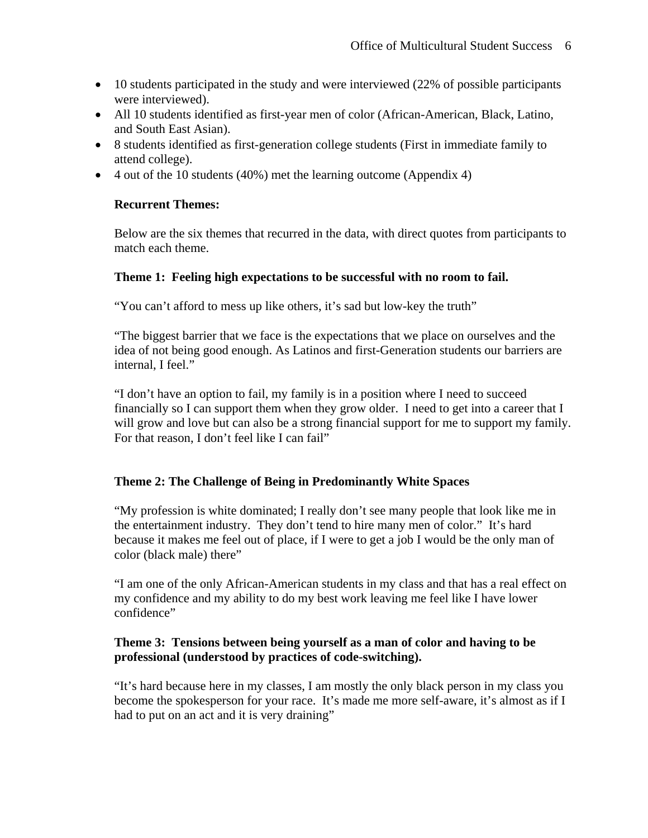- 10 students participated in the study and were interviewed (22% of possible participants were interviewed).
- All 10 students identified as first-year men of color (African-American, Black, Latino, and South East Asian).
- 8 students identified as first-generation college students (First in immediate family to attend college).
- $\bullet$  4 out of the 10 students (40%) met the learning outcome (Appendix 4)

#### **Recurrent Themes:**

Below are the six themes that recurred in the data, with direct quotes from participants to match each theme.

#### **Theme 1: Feeling high expectations to be successful with no room to fail.**

"You can't afford to mess up like others, it's sad but low-key the truth"

"The biggest barrier that we face is the expectations that we place on ourselves and the idea of not being good enough. As Latinos and first-Generation students our barriers are internal, I feel."

"I don't have an option to fail, my family is in a position where I need to succeed financially so I can support them when they grow older. I need to get into a career that I will grow and love but can also be a strong financial support for me to support my family. For that reason, I don't feel like I can fail"

#### **Theme 2: The Challenge of Being in Predominantly White Spaces**

"My profession is white dominated; I really don't see many people that look like me in the entertainment industry. They don't tend to hire many men of color." It's hard because it makes me feel out of place, if I were to get a job I would be the only man of color (black male) there"

"I am one of the only African-American students in my class and that has a real effect on my confidence and my ability to do my best work leaving me feel like I have lower confidence"

#### **Theme 3: Tensions between being yourself as a man of color and having to be professional (understood by practices of code-switching).**

"It's hard because here in my classes, I am mostly the only black person in my class you become the spokesperson for your race. It's made me more self-aware, it's almost as if I had to put on an act and it is very draining"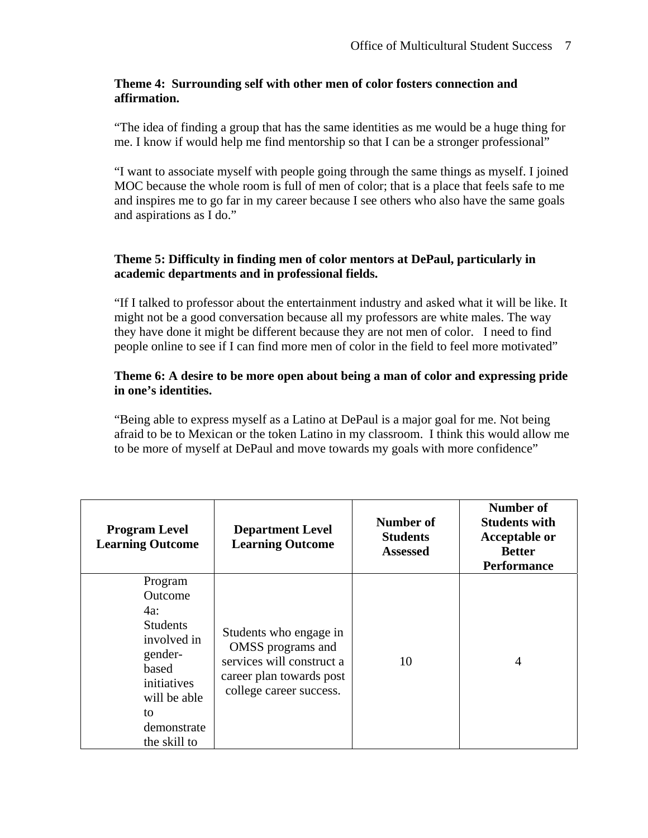## **Theme 4: Surrounding self with other men of color fosters connection and affirmation.**

"The idea of finding a group that has the same identities as me would be a huge thing for me. I know if would help me find mentorship so that I can be a stronger professional"

"I want to associate myself with people going through the same things as myself. I joined MOC because the whole room is full of men of color; that is a place that feels safe to me and inspires me to go far in my career because I see others who also have the same goals and aspirations as I do."

## **Theme 5: Difficulty in finding men of color mentors at DePaul, particularly in academic departments and in professional fields.**

"If I talked to professor about the entertainment industry and asked what it will be like. It might not be a good conversation because all my professors are white males. The way they have done it might be different because they are not men of color. I need to find people online to see if I can find more men of color in the field to feel more motivated"

### **Theme 6: A desire to be more open about being a man of color and expressing pride in one's identities.**

"Being able to express myself as a Latino at DePaul is a major goal for me. Not being afraid to be to Mexican or the token Latino in my classroom. I think this would allow me to be more of myself at DePaul and move towards my goals with more confidence"

| <b>Program Level</b><br><b>Learning Outcome</b>                                                                                                     | <b>Department Level</b><br><b>Learning Outcome</b>                                                                              | Number of<br><b>Students</b><br><b>Assessed</b> | Number of<br><b>Students with</b><br><b>Acceptable or</b><br><b>Better</b><br><b>Performance</b> |
|-----------------------------------------------------------------------------------------------------------------------------------------------------|---------------------------------------------------------------------------------------------------------------------------------|-------------------------------------------------|--------------------------------------------------------------------------------------------------|
| Program<br>Outcome<br>4a:<br><b>Students</b><br>involved in<br>gender-<br>based<br>initiatives<br>will be able<br>to<br>demonstrate<br>the skill to | Students who engage in<br>OMSS programs and<br>services will construct a<br>career plan towards post<br>college career success. | 10                                              | $\overline{4}$                                                                                   |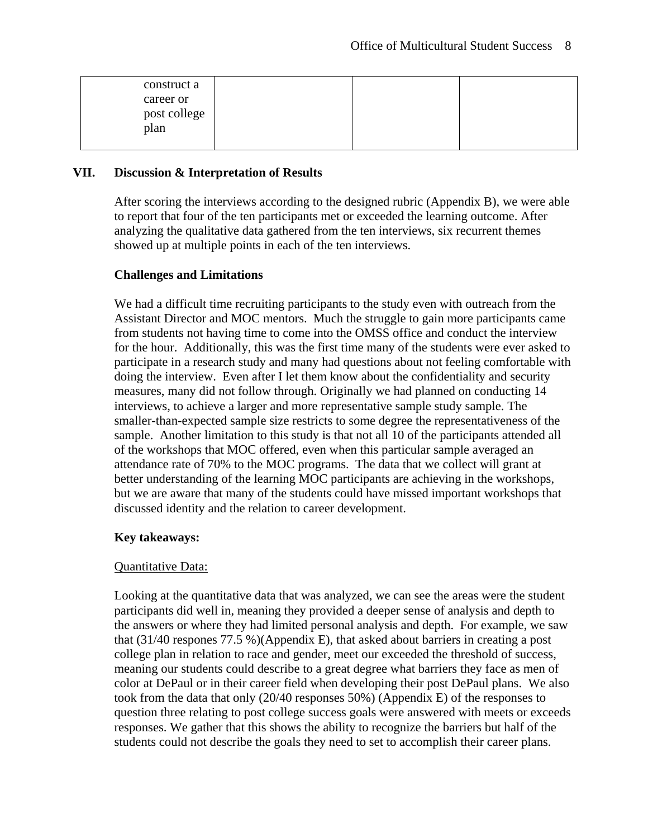| construct a                       |  |  |
|-----------------------------------|--|--|
| career or<br>post college<br>plan |  |  |

#### **VII. Discussion & Interpretation of Results**

After scoring the interviews according to the designed rubric (Appendix B), we were able to report that four of the ten participants met or exceeded the learning outcome. After analyzing the qualitative data gathered from the ten interviews, six recurrent themes showed up at multiple points in each of the ten interviews.

#### **Challenges and Limitations**

We had a difficult time recruiting participants to the study even with outreach from the Assistant Director and MOC mentors. Much the struggle to gain more participants came from students not having time to come into the OMSS office and conduct the interview for the hour. Additionally, this was the first time many of the students were ever asked to participate in a research study and many had questions about not feeling comfortable with doing the interview. Even after I let them know about the confidentiality and security measures, many did not follow through. Originally we had planned on conducting 14 interviews, to achieve a larger and more representative sample study sample. The smaller-than-expected sample size restricts to some degree the representativeness of the sample. Another limitation to this study is that not all 10 of the participants attended all of the workshops that MOC offered, even when this particular sample averaged an attendance rate of 70% to the MOC programs. The data that we collect will grant at better understanding of the learning MOC participants are achieving in the workshops, but we are aware that many of the students could have missed important workshops that discussed identity and the relation to career development.

#### **Key takeaways:**

#### Quantitative Data:

Looking at the quantitative data that was analyzed, we can see the areas were the student participants did well in, meaning they provided a deeper sense of analysis and depth to the answers or where they had limited personal analysis and depth. For example, we saw that (31/40 respones 77.5 %)(Appendix E), that asked about barriers in creating a post college plan in relation to race and gender, meet our exceeded the threshold of success, meaning our students could describe to a great degree what barriers they face as men of color at DePaul or in their career field when developing their post DePaul plans. We also took from the data that only (20/40 responses 50%) (Appendix E) of the responses to question three relating to post college success goals were answered with meets or exceeds responses. We gather that this shows the ability to recognize the barriers but half of the students could not describe the goals they need to set to accomplish their career plans.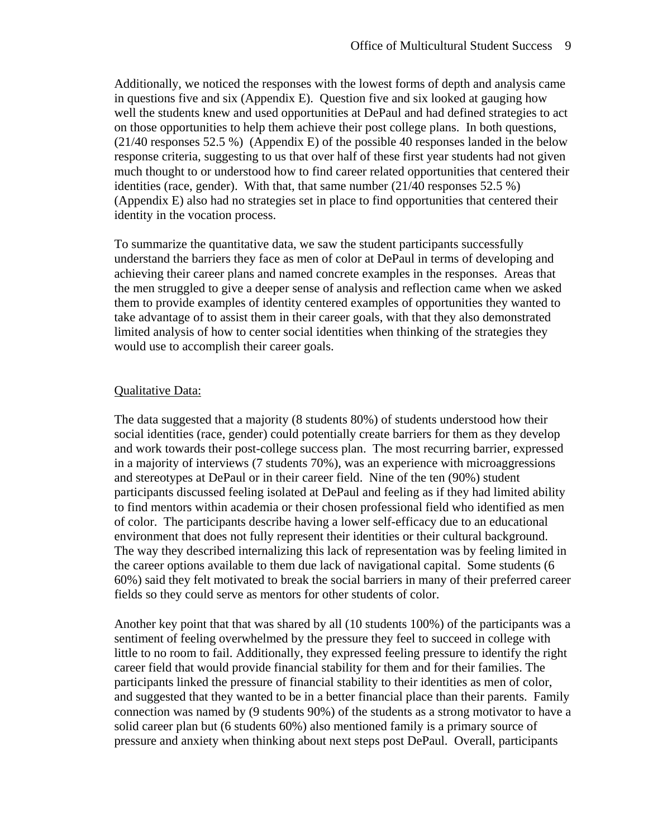Additionally, we noticed the responses with the lowest forms of depth and analysis came in questions five and six (Appendix E). Question five and six looked at gauging how well the students knew and used opportunities at DePaul and had defined strategies to act on those opportunities to help them achieve their post college plans. In both questions, (21/40 responses 52.5 %) (Appendix E) of the possible 40 responses landed in the below response criteria, suggesting to us that over half of these first year students had not given much thought to or understood how to find career related opportunities that centered their identities (race, gender). With that, that same number (21/40 responses 52.5 %) (Appendix E) also had no strategies set in place to find opportunities that centered their identity in the vocation process.

To summarize the quantitative data, we saw the student participants successfully understand the barriers they face as men of color at DePaul in terms of developing and achieving their career plans and named concrete examples in the responses. Areas that the men struggled to give a deeper sense of analysis and reflection came when we asked them to provide examples of identity centered examples of opportunities they wanted to take advantage of to assist them in their career goals, with that they also demonstrated limited analysis of how to center social identities when thinking of the strategies they would use to accomplish their career goals.

#### Qualitative Data:

The data suggested that a majority (8 students 80%) of students understood how their social identities (race, gender) could potentially create barriers for them as they develop and work towards their post-college success plan. The most recurring barrier, expressed in a majority of interviews (7 students 70%), was an experience with microaggressions and stereotypes at DePaul or in their career field. Nine of the ten (90%) student participants discussed feeling isolated at DePaul and feeling as if they had limited ability to find mentors within academia or their chosen professional field who identified as men of color. The participants describe having a lower self-efficacy due to an educational environment that does not fully represent their identities or their cultural background. The way they described internalizing this lack of representation was by feeling limited in the career options available to them due lack of navigational capital. Some students (6 60%) said they felt motivated to break the social barriers in many of their preferred career fields so they could serve as mentors for other students of color.

Another key point that that was shared by all (10 students 100%) of the participants was a sentiment of feeling overwhelmed by the pressure they feel to succeed in college with little to no room to fail. Additionally, they expressed feeling pressure to identify the right career field that would provide financial stability for them and for their families. The participants linked the pressure of financial stability to their identities as men of color, and suggested that they wanted to be in a better financial place than their parents. Family connection was named by (9 students 90%) of the students as a strong motivator to have a solid career plan but (6 students 60%) also mentioned family is a primary source of pressure and anxiety when thinking about next steps post DePaul. Overall, participants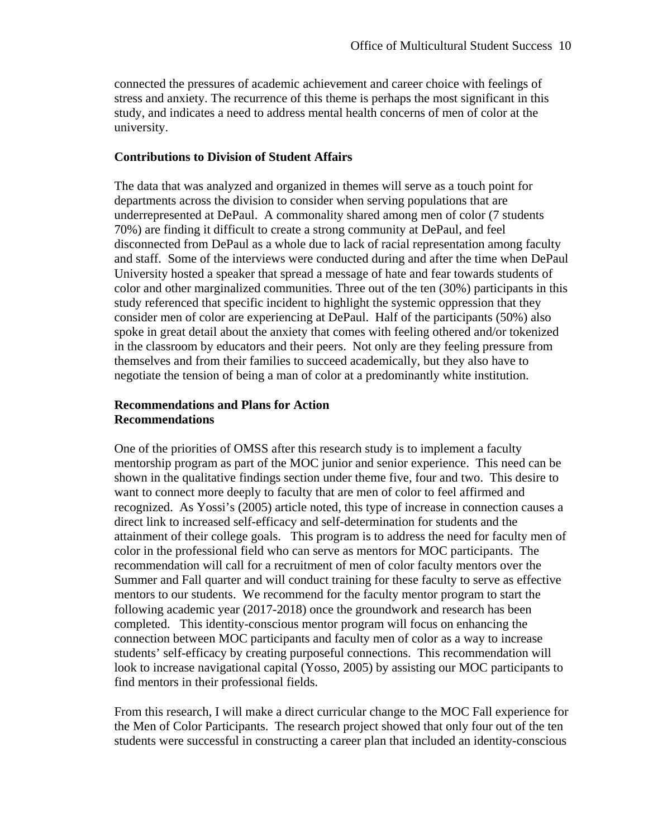connected the pressures of academic achievement and career choice with feelings of stress and anxiety. The recurrence of this theme is perhaps the most significant in this study, and indicates a need to address mental health concerns of men of color at the university.

#### **Contributions to Division of Student Affairs**

The data that was analyzed and organized in themes will serve as a touch point for departments across the division to consider when serving populations that are underrepresented at DePaul. A commonality shared among men of color (7 students 70%) are finding it difficult to create a strong community at DePaul, and feel disconnected from DePaul as a whole due to lack of racial representation among faculty and staff. Some of the interviews were conducted during and after the time when DePaul University hosted a speaker that spread a message of hate and fear towards students of color and other marginalized communities. Three out of the ten (30%) participants in this study referenced that specific incident to highlight the systemic oppression that they consider men of color are experiencing at DePaul. Half of the participants (50%) also spoke in great detail about the anxiety that comes with feeling othered and/or tokenized in the classroom by educators and their peers. Not only are they feeling pressure from themselves and from their families to succeed academically, but they also have to negotiate the tension of being a man of color at a predominantly white institution.

#### **Recommendations and Plans for Action Recommendations**

One of the priorities of OMSS after this research study is to implement a faculty mentorship program as part of the MOC junior and senior experience. This need can be shown in the qualitative findings section under theme five, four and two. This desire to want to connect more deeply to faculty that are men of color to feel affirmed and recognized. As Yossi's (2005) article noted, this type of increase in connection causes a direct link to increased self-efficacy and self-determination for students and the attainment of their college goals. This program is to address the need for faculty men of color in the professional field who can serve as mentors for MOC participants. The recommendation will call for a recruitment of men of color faculty mentors over the Summer and Fall quarter and will conduct training for these faculty to serve as effective mentors to our students. We recommend for the faculty mentor program to start the following academic year (2017-2018) once the groundwork and research has been completed. This identity-conscious mentor program will focus on enhancing the connection between MOC participants and faculty men of color as a way to increase students' self-efficacy by creating purposeful connections. This recommendation will look to increase navigational capital (Yosso, 2005) by assisting our MOC participants to find mentors in their professional fields.

From this research, I will make a direct curricular change to the MOC Fall experience for the Men of Color Participants. The research project showed that only four out of the ten students were successful in constructing a career plan that included an identity-conscious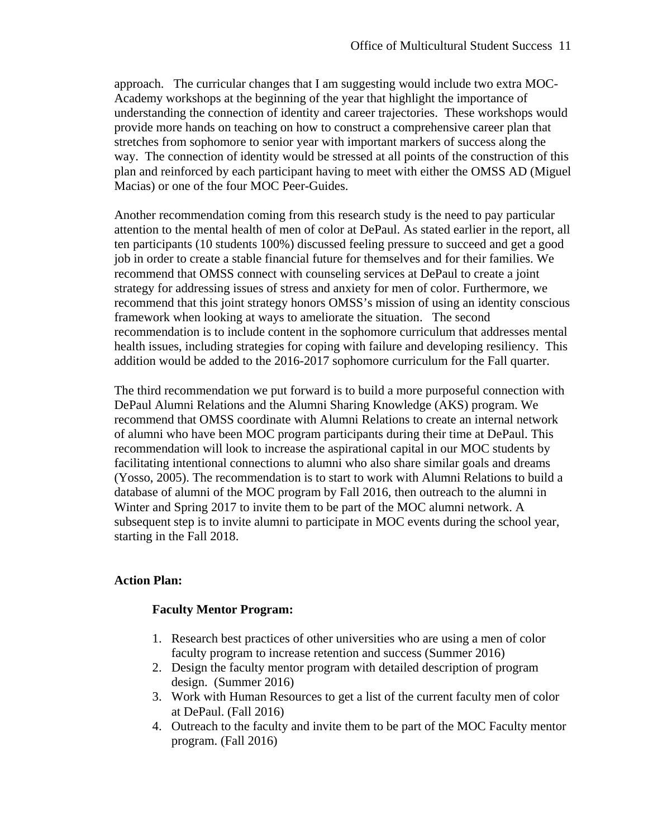approach. The curricular changes that I am suggesting would include two extra MOC-Academy workshops at the beginning of the year that highlight the importance of understanding the connection of identity and career trajectories. These workshops would provide more hands on teaching on how to construct a comprehensive career plan that stretches from sophomore to senior year with important markers of success along the way. The connection of identity would be stressed at all points of the construction of this plan and reinforced by each participant having to meet with either the OMSS AD (Miguel Macias) or one of the four MOC Peer-Guides.

Another recommendation coming from this research study is the need to pay particular attention to the mental health of men of color at DePaul. As stated earlier in the report, all ten participants (10 students 100%) discussed feeling pressure to succeed and get a good job in order to create a stable financial future for themselves and for their families. We recommend that OMSS connect with counseling services at DePaul to create a joint strategy for addressing issues of stress and anxiety for men of color. Furthermore, we recommend that this joint strategy honors OMSS's mission of using an identity conscious framework when looking at ways to ameliorate the situation. The second recommendation is to include content in the sophomore curriculum that addresses mental health issues, including strategies for coping with failure and developing resiliency. This addition would be added to the 2016-2017 sophomore curriculum for the Fall quarter.

The third recommendation we put forward is to build a more purposeful connection with DePaul Alumni Relations and the Alumni Sharing Knowledge (AKS) program. We recommend that OMSS coordinate with Alumni Relations to create an internal network of alumni who have been MOC program participants during their time at DePaul. This recommendation will look to increase the aspirational capital in our MOC students by facilitating intentional connections to alumni who also share similar goals and dreams (Yosso, 2005). The recommendation is to start to work with Alumni Relations to build a database of alumni of the MOC program by Fall 2016, then outreach to the alumni in Winter and Spring 2017 to invite them to be part of the MOC alumni network. A subsequent step is to invite alumni to participate in MOC events during the school year, starting in the Fall 2018.

#### **Action Plan:**

#### **Faculty Mentor Program:**

- 1. Research best practices of other universities who are using a men of color faculty program to increase retention and success (Summer 2016)
- 2. Design the faculty mentor program with detailed description of program design. (Summer 2016)
- 3. Work with Human Resources to get a list of the current faculty men of color at DePaul. (Fall 2016)
- 4. Outreach to the faculty and invite them to be part of the MOC Faculty mentor program. (Fall 2016)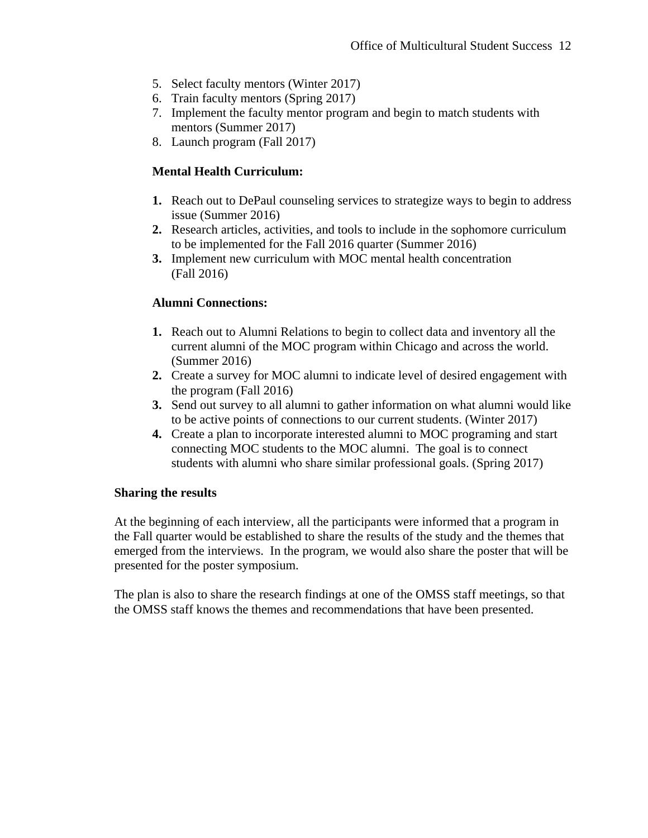- 5. Select faculty mentors (Winter 2017)
- 6. Train faculty mentors (Spring 2017)
- 7. Implement the faculty mentor program and begin to match students with mentors (Summer 2017)
- 8. Launch program (Fall 2017)

## **Mental Health Curriculum:**

- **1.** Reach out to DePaul counseling services to strategize ways to begin to address issue (Summer 2016)
- **2.** Research articles, activities, and tools to include in the sophomore curriculum to be implemented for the Fall 2016 quarter (Summer 2016)
- **3.** Implement new curriculum with MOC mental health concentration (Fall 2016)

## **Alumni Connections:**

- **1.** Reach out to Alumni Relations to begin to collect data and inventory all the current alumni of the MOC program within Chicago and across the world. (Summer 2016)
- **2.** Create a survey for MOC alumni to indicate level of desired engagement with the program (Fall 2016)
- **3.** Send out survey to all alumni to gather information on what alumni would like to be active points of connections to our current students. (Winter 2017)
- **4.** Create a plan to incorporate interested alumni to MOC programing and start connecting MOC students to the MOC alumni. The goal is to connect students with alumni who share similar professional goals. (Spring 2017)

## **Sharing the results**

At the beginning of each interview, all the participants were informed that a program in the Fall quarter would be established to share the results of the study and the themes that emerged from the interviews. In the program, we would also share the poster that will be presented for the poster symposium.

The plan is also to share the research findings at one of the OMSS staff meetings, so that the OMSS staff knows the themes and recommendations that have been presented.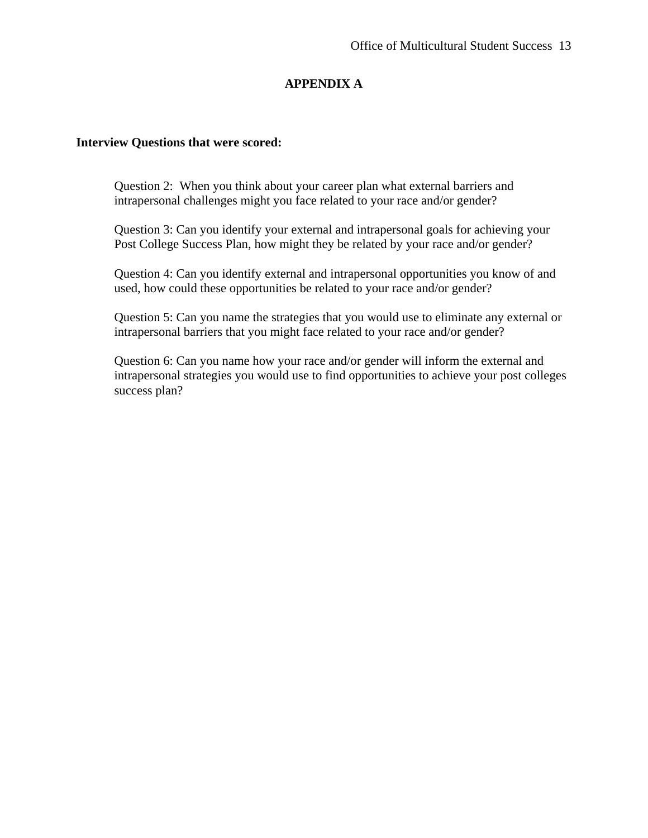## **APPENDIX A**

#### **Interview Questions that were scored:**

Question 2: When you think about your career plan what external barriers and intrapersonal challenges might you face related to your race and/or gender?

Question 3: Can you identify your external and intrapersonal goals for achieving your Post College Success Plan, how might they be related by your race and/or gender?

Question 4: Can you identify external and intrapersonal opportunities you know of and used, how could these opportunities be related to your race and/or gender?

Question 5: Can you name the strategies that you would use to eliminate any external or intrapersonal barriers that you might face related to your race and/or gender?

Question 6: Can you name how your race and/or gender will inform the external and intrapersonal strategies you would use to find opportunities to achieve your post colleges success plan?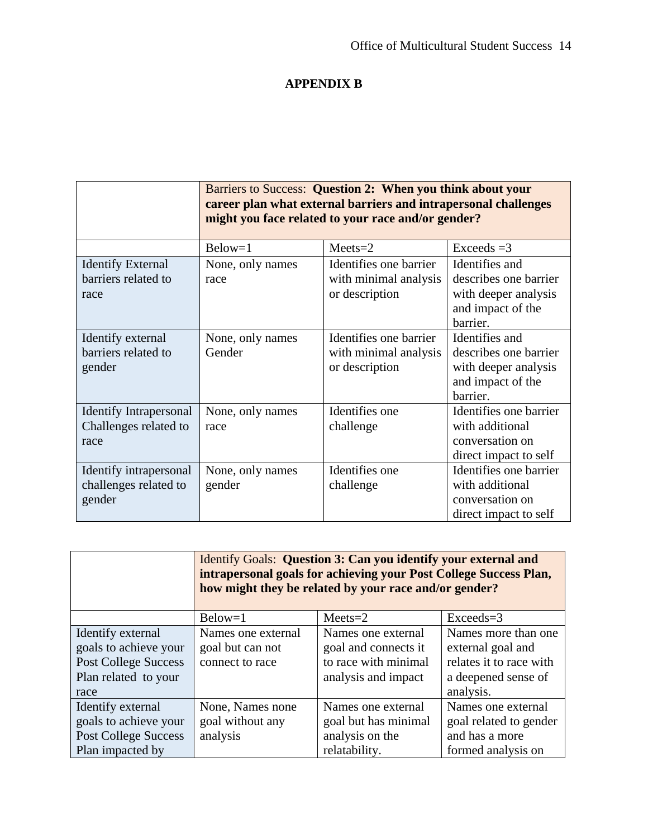# **APPENDIX B**

|                                                                | Barriers to Success: Question 2: When you think about your<br>career plan what external barriers and intrapersonal challenges<br>might you face related to your race and/or gender? |                                                                   |                                                                                                  |  |
|----------------------------------------------------------------|-------------------------------------------------------------------------------------------------------------------------------------------------------------------------------------|-------------------------------------------------------------------|--------------------------------------------------------------------------------------------------|--|
|                                                                | $Below=1$                                                                                                                                                                           | $Meets = 2$                                                       | $Exceeds = 3$                                                                                    |  |
| <b>Identify External</b><br>barriers related to<br>race        | None, only names<br>race                                                                                                                                                            | Identifies one barrier<br>with minimal analysis<br>or description | Identifies and<br>describes one barrier<br>with deeper analysis<br>and impact of the<br>barrier. |  |
| Identify external<br>barriers related to<br>gender             | None, only names<br>Gender                                                                                                                                                          | Identifies one barrier<br>with minimal analysis<br>or description | Identifies and<br>describes one barrier<br>with deeper analysis<br>and impact of the<br>barrier. |  |
| <b>Identify Intrapersonal</b><br>Challenges related to<br>race | None, only names<br>race                                                                                                                                                            | Identifies one<br>challenge                                       | Identifies one barrier<br>with additional<br>conversation on<br>direct impact to self            |  |
| Identify intrapersonal<br>challenges related to<br>gender      | None, only names<br>gender                                                                                                                                                          | Identifies one<br>challenge                                       | Identifies one barrier<br>with additional<br>conversation on<br>direct impact to self            |  |

|                                                                                                           | Identify Goals: Question 3: Can you identify your external and<br>intrapersonal goals for achieving your Post College Success Plan,<br>how might they be related by your race and/or gender? |                                                                                           |                                                                                                         |  |
|-----------------------------------------------------------------------------------------------------------|----------------------------------------------------------------------------------------------------------------------------------------------------------------------------------------------|-------------------------------------------------------------------------------------------|---------------------------------------------------------------------------------------------------------|--|
|                                                                                                           | $Below=1$                                                                                                                                                                                    | $Meets = 2$                                                                               | $Exceeds=3$                                                                                             |  |
| Identify external<br>goals to achieve your<br><b>Post College Success</b><br>Plan related to your<br>race | Names one external<br>goal but can not<br>connect to race                                                                                                                                    | Names one external<br>goal and connects it<br>to race with minimal<br>analysis and impact | Names more than one<br>external goal and<br>relates it to race with<br>a deepened sense of<br>analysis. |  |
| Identify external<br>goals to achieve your<br><b>Post College Success</b><br>Plan impacted by             | None, Names none<br>goal without any<br>analysis                                                                                                                                             | Names one external<br>goal but has minimal<br>analysis on the<br>relatability.            | Names one external<br>goal related to gender<br>and has a more<br>formed analysis on                    |  |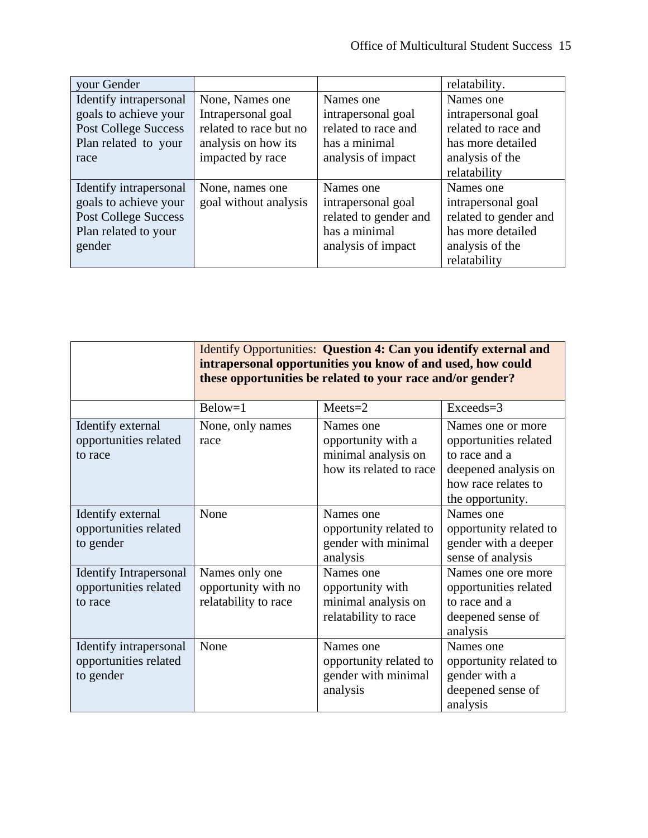| your Gender                 |                        |                       | relatability.         |
|-----------------------------|------------------------|-----------------------|-----------------------|
| Identify intrapersonal      | None, Names one        | Names one             | Names one             |
| goals to achieve your       | Intrapersonal goal     | intrapersonal goal    | intrapersonal goal    |
| <b>Post College Success</b> | related to race but no | related to race and   | related to race and   |
| Plan related to your        | analysis on how its    | has a minimal         | has more detailed     |
| race                        | impacted by race       | analysis of impact    | analysis of the       |
|                             |                        |                       | relatability          |
| Identify intrapersonal      | None, names one        | Names one             | Names one             |
| goals to achieve your       | goal without analysis  | intrapersonal goal    | intrapersonal goal    |
| <b>Post College Success</b> |                        | related to gender and | related to gender and |
| Plan related to your        |                        | has a minimal         | has more detailed     |
| gender                      |                        | analysis of impact    | analysis of the       |
|                             |                        |                       | relatability          |

|                                                                   | Identify Opportunities: Question 4: Can you identify external and<br>intrapersonal opportunities you know of and used, how could<br>these opportunities be related to your race and/or gender? |                                                                                   |                                                                                                                                |  |
|-------------------------------------------------------------------|------------------------------------------------------------------------------------------------------------------------------------------------------------------------------------------------|-----------------------------------------------------------------------------------|--------------------------------------------------------------------------------------------------------------------------------|--|
|                                                                   | Below=1                                                                                                                                                                                        | $Meets = 2$                                                                       | Exceeds=3                                                                                                                      |  |
| Identify external<br>opportunities related<br>to race             | None, only names<br>race                                                                                                                                                                       | Names one<br>opportunity with a<br>minimal analysis on<br>how its related to race | Names one or more<br>opportunities related<br>to race and a<br>deepened analysis on<br>how race relates to<br>the opportunity. |  |
| Identify external<br>opportunities related<br>to gender           | None                                                                                                                                                                                           | Names one<br>opportunity related to<br>gender with minimal<br>analysis            | Names one<br>opportunity related to<br>gender with a deeper<br>sense of analysis                                               |  |
| <b>Identify Intrapersonal</b><br>opportunities related<br>to race | Names only one<br>opportunity with no<br>relatability to race                                                                                                                                  | Names one<br>opportunity with<br>minimal analysis on<br>relatability to race      | Names one ore more<br>opportunities related<br>to race and a<br>deepened sense of<br>analysis                                  |  |
| Identify intrapersonal<br>opportunities related<br>to gender      | None                                                                                                                                                                                           | Names one<br>opportunity related to<br>gender with minimal<br>analysis            | Names one<br>opportunity related to<br>gender with a<br>deepened sense of<br>analysis                                          |  |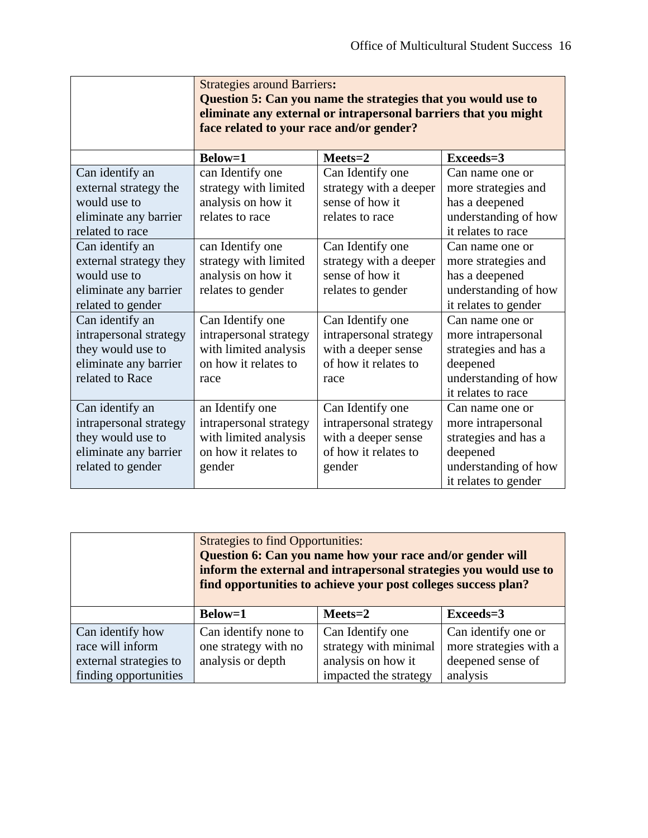|                        | <b>Strategies around Barriers:</b><br>Question 5: Can you name the strategies that you would use to<br>eliminate any external or intrapersonal barriers that you might<br>face related to your race and/or gender? |                        |                      |  |
|------------------------|--------------------------------------------------------------------------------------------------------------------------------------------------------------------------------------------------------------------|------------------------|----------------------|--|
|                        | <b>Below=1</b>                                                                                                                                                                                                     | $Meets = 2$            | Exceeds=3            |  |
| Can identify an        | can Identify one                                                                                                                                                                                                   | Can Identify one       | Can name one or      |  |
| external strategy the  | strategy with limited                                                                                                                                                                                              | strategy with a deeper | more strategies and  |  |
| would use to           | analysis on how it                                                                                                                                                                                                 | sense of how it        | has a deepened       |  |
| eliminate any barrier  | relates to race                                                                                                                                                                                                    | relates to race        | understanding of how |  |
| related to race        |                                                                                                                                                                                                                    |                        | it relates to race   |  |
| Can identify an        | can Identify one                                                                                                                                                                                                   | Can Identify one       | Can name one or      |  |
| external strategy they | strategy with limited                                                                                                                                                                                              | strategy with a deeper | more strategies and  |  |
| would use to           | analysis on how it                                                                                                                                                                                                 | sense of how it        | has a deepened       |  |
| eliminate any barrier  | relates to gender                                                                                                                                                                                                  | relates to gender      | understanding of how |  |
| related to gender      |                                                                                                                                                                                                                    |                        | it relates to gender |  |
| Can identify an        | Can Identify one                                                                                                                                                                                                   | Can Identify one       | Can name one or      |  |
| intrapersonal strategy | intrapersonal strategy                                                                                                                                                                                             | intrapersonal strategy | more intrapersonal   |  |
| they would use to      | with limited analysis                                                                                                                                                                                              | with a deeper sense    | strategies and has a |  |
| eliminate any barrier  | on how it relates to                                                                                                                                                                                               | of how it relates to   | deepened             |  |
| related to Race        | race                                                                                                                                                                                                               | race                   | understanding of how |  |
|                        |                                                                                                                                                                                                                    |                        | it relates to race   |  |
| Can identify an        | an Identify one                                                                                                                                                                                                    | Can Identify one       | Can name one or      |  |
| intrapersonal strategy | intrapersonal strategy                                                                                                                                                                                             | intrapersonal strategy | more intrapersonal   |  |
| they would use to      | with limited analysis                                                                                                                                                                                              | with a deeper sense    | strategies and has a |  |
| eliminate any barrier  | on how it relates to                                                                                                                                                                                               | of how it relates to   | deepened             |  |
| related to gender      | gender                                                                                                                                                                                                             | gender                 | understanding of how |  |
|                        |                                                                                                                                                                                                                    |                        | it relates to gender |  |

|                        | <b>Strategies to find Opportunities:</b><br>Question 6: Can you name how your race and/or gender will<br>inform the external and intrapersonal strategies you would use to<br>find opportunities to achieve your post colleges success plan? |                       |                        |
|------------------------|----------------------------------------------------------------------------------------------------------------------------------------------------------------------------------------------------------------------------------------------|-----------------------|------------------------|
|                        | <b>Below=1</b>                                                                                                                                                                                                                               | $Meets = 2$           | Exceeds=3              |
| Can identify how       | Can identify none to                                                                                                                                                                                                                         | Can Identify one      | Can identify one or    |
| race will inform       | one strategy with no                                                                                                                                                                                                                         | strategy with minimal | more strategies with a |
| external strategies to | analysis or depth                                                                                                                                                                                                                            | analysis on how it    | deepened sense of      |
| finding opportunities  |                                                                                                                                                                                                                                              | impacted the strategy | analysis               |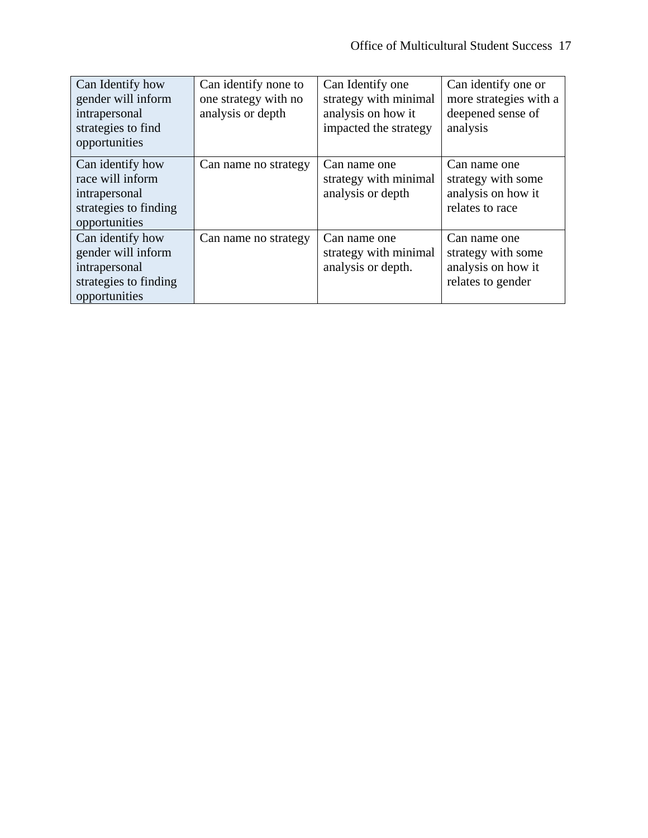| Can Identify how<br>gender will inform<br>intrapersonal<br>strategies to find<br>opportunities    | Can identify none to<br>one strategy with no<br>analysis or depth | Can Identify one<br>strategy with minimal<br>analysis on how it<br>impacted the strategy | Can identify one or<br>more strategies with a<br>deepened sense of<br>analysis |
|---------------------------------------------------------------------------------------------------|-------------------------------------------------------------------|------------------------------------------------------------------------------------------|--------------------------------------------------------------------------------|
| Can identify how<br>race will inform<br>intrapersonal<br>strategies to finding<br>opportunities   | Can name no strategy                                              | Can name one<br>strategy with minimal<br>analysis or depth                               | Can name one<br>strategy with some<br>analysis on how it<br>relates to race    |
| Can identify how<br>gender will inform<br>intrapersonal<br>strategies to finding<br>opportunities | Can name no strategy                                              | Can name one<br>strategy with minimal<br>analysis or depth.                              | Can name one<br>strategy with some<br>analysis on how it<br>relates to gender  |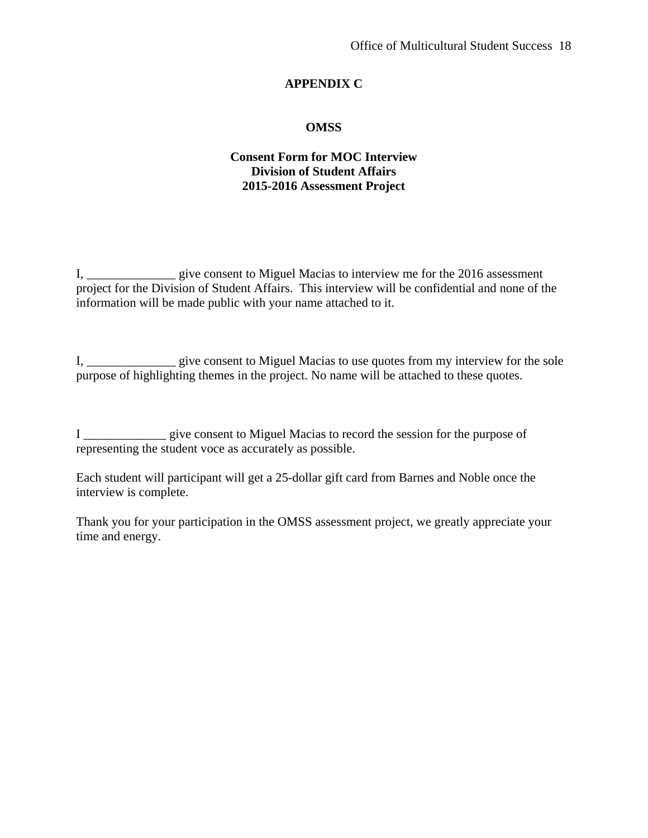## **APPENDIX C**

## **OMSS**

## **Consent Form for MOC Interview Division of Student Affairs 2015-2016 Assessment Project**

I, \_\_\_\_\_\_\_\_\_\_\_\_\_\_ give consent to Miguel Macias to interview me for the 2016 assessment project for the Division of Student Affairs. This interview will be confidential and none of the information will be made public with your name attached to it.

I, \_\_\_\_\_\_\_\_\_\_\_\_\_\_ give consent to Miguel Macias to use quotes from my interview for the sole purpose of highlighting themes in the project. No name will be attached to these quotes.

I \_\_\_\_\_\_\_\_\_\_\_\_\_ give consent to Miguel Macias to record the session for the purpose of representing the student voce as accurately as possible.

Each student will participant will get a 25-dollar gift card from Barnes and Noble once the interview is complete.

Thank you for your participation in the OMSS assessment project, we greatly appreciate your time and energy.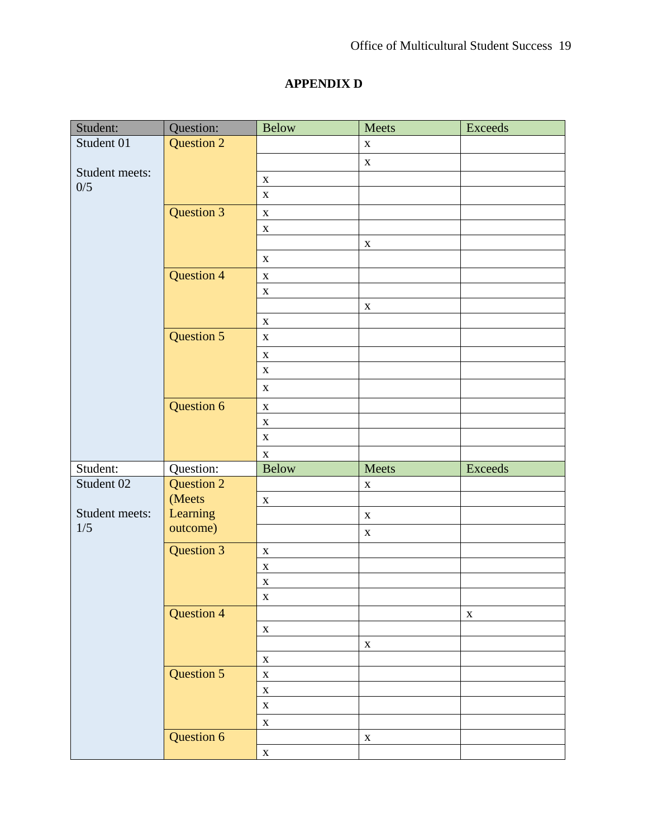# **APPENDIX D**

| Student:       | Question:         | <b>Below</b> | Meets       | <b>Exceeds</b> |
|----------------|-------------------|--------------|-------------|----------------|
| Student 01     | <b>Question 2</b> |              | $\mathbf X$ |                |
|                |                   |              | $\mathbf X$ |                |
| Student meets: |                   | $\mathbf X$  |             |                |
| 0/5            |                   | $\mathbf X$  |             |                |
|                | <b>Question 3</b> | $\mathbf X$  |             |                |
|                |                   | $\mathbf X$  |             |                |
|                |                   |              | $\mathbf X$ |                |
|                |                   | $\mathbf X$  |             |                |
|                | <b>Question 4</b> | $\mathbf X$  |             |                |
|                |                   | $\mathbf X$  |             |                |
|                |                   |              | $\mathbf X$ |                |
|                |                   | $\mathbf X$  |             |                |
|                | <b>Question 5</b> | $\mathbf X$  |             |                |
|                |                   | $\mathbf X$  |             |                |
|                |                   | $\mathbf X$  |             |                |
|                |                   | $\mathbf X$  |             |                |
|                | Question 6        | $\mathbf X$  |             |                |
|                |                   | $\mathbf X$  |             |                |
|                |                   | $\mathbf X$  |             |                |
|                |                   | $\mathbf X$  |             |                |
| Student:       | Question:         | <b>Below</b> | Meets       | <b>Exceeds</b> |
| Student 02     | <b>Question 2</b> |              | $\mathbf X$ |                |
|                | (Meets            | $\mathbf X$  |             |                |
| Student meets: | Learning          |              | $\mathbf X$ |                |
| 1/5            | outcome)          |              | $\mathbf X$ |                |
|                | Question 3        | $\mathbf X$  |             |                |
|                |                   | $\mathbf X$  |             |                |
|                |                   | $\mathbf X$  |             |                |
|                |                   | X            |             |                |
|                | <b>Question 4</b> |              |             | $\mathbf X$    |
|                |                   | $\mathbf X$  |             |                |
|                |                   |              | $\mathbf X$ |                |
|                |                   | $\mathbf X$  |             |                |
|                | Question 5        | $\mathbf X$  |             |                |
|                |                   | $\mathbf X$  |             |                |
|                |                   | $\mathbf X$  |             |                |
|                |                   | $\mathbf X$  |             |                |
|                | Question 6        |              | $\mathbf X$ |                |
|                |                   | $\mathbf X$  |             |                |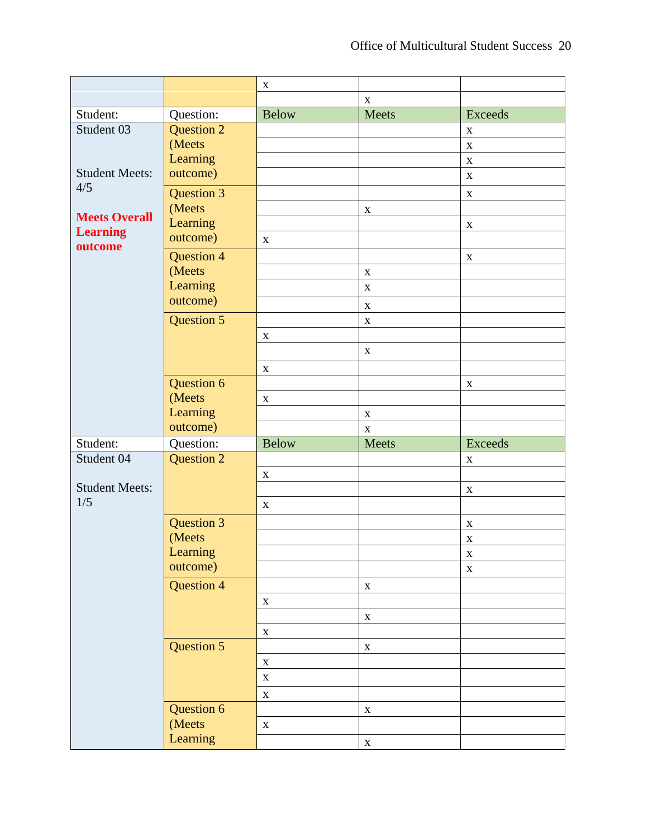|                            |                   | $\mathbf X$  |             |                           |
|----------------------------|-------------------|--------------|-------------|---------------------------|
|                            |                   |              | $\mathbf X$ |                           |
| Student:                   | Question:         | <b>Below</b> | Meets       | <b>Exceeds</b>            |
| Student 03                 | Question 2        |              |             | $\mathbf X$               |
|                            | (Meets            |              |             | $\mathbf X$               |
|                            | Learning          |              |             | $\mathbf X$               |
| <b>Student Meets:</b>      | outcome)          |              |             | $\mathbf X$               |
| 4/5                        | <b>Question 3</b> |              |             | $\mathbf X$               |
|                            | (Meets            |              | $\mathbf X$ |                           |
| <b>Meets Overall</b>       | Learning          |              |             | $\mathbf X$               |
| <b>Learning</b><br>outcome | outcome)          | $\mathbf X$  |             |                           |
|                            | <b>Question 4</b> |              |             | $\mathbf X$               |
|                            | (Meets            |              | $\mathbf X$ |                           |
|                            | Learning          |              | $\mathbf X$ |                           |
|                            | outcome)          |              | $\mathbf X$ |                           |
|                            | Question 5        |              | $\mathbf X$ |                           |
|                            |                   | $\mathbf X$  |             |                           |
|                            |                   |              | $\mathbf X$ |                           |
|                            |                   | $\mathbf X$  |             |                           |
|                            | Question 6        |              |             | $\boldsymbol{\mathrm{X}}$ |
|                            | (Meets            | $\mathbf{X}$ |             |                           |
|                            | Learning          |              | $\mathbf X$ |                           |
|                            | outcome)          |              | $\mathbf X$ |                           |
| Student:                   | Question:         | <b>Below</b> | Meets       | <b>Exceeds</b>            |
| Student 04                 | Question 2        |              |             | $\mathbf X$               |
|                            |                   | $\mathbf X$  |             |                           |
| <b>Student Meets:</b>      |                   |              |             | $\mathbf X$               |
| 1/5                        |                   | $\mathbf X$  |             |                           |
|                            | Question 3        |              |             | $\mathbf X$               |
|                            | (Meets            |              |             | $\mathbf X$               |
|                            | Learning          |              |             | $\mathbf X$               |
|                            | outcome)          |              |             | $\mathbf X$               |
|                            | <b>Question 4</b> |              | $\mathbf X$ |                           |
|                            |                   | $\mathbf X$  |             |                           |
|                            |                   |              | $\mathbf X$ |                           |
|                            |                   | $\mathbf X$  |             |                           |
|                            | Question 5        |              | $\mathbf X$ |                           |
|                            |                   | $\mathbf X$  |             |                           |
|                            |                   | $\mathbf X$  |             |                           |
|                            |                   | $\mathbf X$  |             |                           |
|                            | Question 6        |              | $\mathbf X$ |                           |
|                            | (Meets            | $\mathbf{X}$ |             |                           |
|                            | Learning          |              |             |                           |
|                            |                   |              | $\mathbf X$ |                           |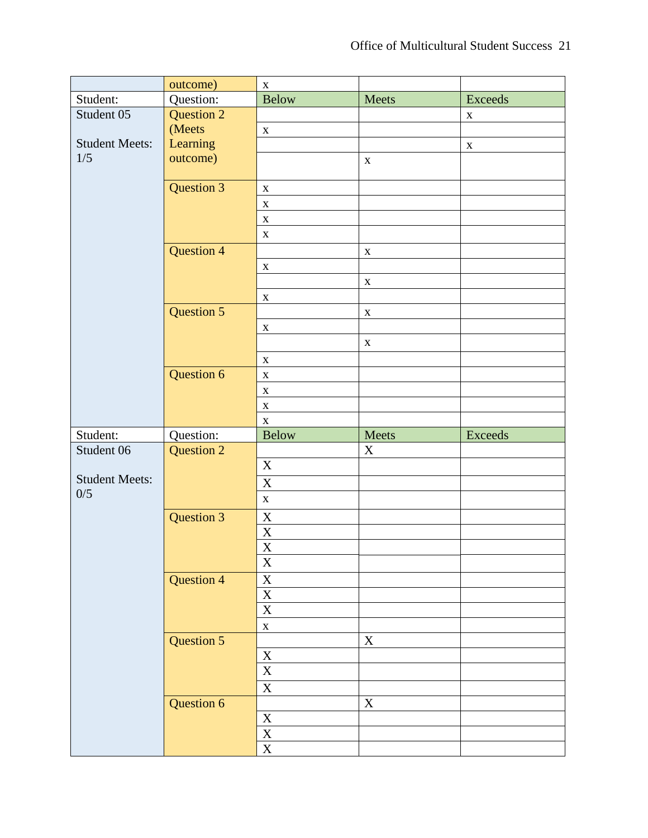|                       | outcome)          | $\mathbf X$                               |             |                |
|-----------------------|-------------------|-------------------------------------------|-------------|----------------|
| Student:              | Question:         | <b>Below</b>                              | Meets       | <b>Exceeds</b> |
| Student 05            | Question 2        |                                           |             | $\mathbf X$    |
|                       | (Meets            | $\mathbf X$                               |             |                |
| <b>Student Meets:</b> | Learning          |                                           |             | $\mathbf X$    |
| 1/5                   | outcome)          |                                           | $\mathbf X$ |                |
|                       |                   |                                           |             |                |
|                       | <b>Question 3</b> | $\mathbf X$                               |             |                |
|                       |                   | $\mathbf X$                               |             |                |
|                       |                   | $\mathbf X$                               |             |                |
|                       |                   | $\mathbf X$                               |             |                |
|                       | <b>Question 4</b> |                                           | $\mathbf X$ |                |
|                       |                   | $\mathbf X$                               |             |                |
|                       |                   |                                           | $\mathbf X$ |                |
|                       |                   | $\mathbf X$                               |             |                |
|                       | Question 5        |                                           | $\mathbf X$ |                |
|                       |                   | $\mathbf X$                               |             |                |
|                       |                   |                                           | $\mathbf X$ |                |
|                       |                   | $\mathbf X$                               |             |                |
|                       | Question 6        | $\mathbf X$                               |             |                |
|                       |                   | $\mathbf X$                               |             |                |
|                       |                   | $\mathbf X$                               |             |                |
|                       |                   |                                           |             |                |
|                       |                   |                                           |             |                |
|                       |                   | $\mathbf X$                               |             |                |
| Student:              | Question:         | <b>Below</b>                              | Meets       | <b>Exceeds</b> |
| Student 06            | <b>Question 2</b> |                                           | $\mathbf X$ |                |
| <b>Student Meets:</b> |                   | X                                         |             |                |
| 0/5                   |                   | $\overline{X}$                            |             |                |
|                       |                   | $\mathbf X$                               |             |                |
|                       | <b>Question 3</b> | $\mathbf X$                               |             |                |
|                       |                   |                                           |             |                |
|                       |                   | $\frac{\overline{X}}{\overline{X}}$       |             |                |
|                       |                   | $\mathbf X$                               |             |                |
|                       | <b>Question 4</b> | $\mathbf X$                               |             |                |
|                       |                   |                                           |             |                |
|                       |                   | $\frac{\overline{X}}{\overline{X}}$       |             |                |
|                       |                   | $\mathbf X$                               |             |                |
|                       | Question 5        |                                           | $\mathbf X$ |                |
|                       |                   | $\mathbf X$                               |             |                |
|                       |                   | $\overline{X}$                            |             |                |
|                       |                   | $\overline{X}$                            |             |                |
|                       | Question 6        |                                           | $\mathbf X$ |                |
|                       |                   | $\mathbf{X}$                              |             |                |
|                       |                   | $\overline{\textbf{X}}$<br>$\overline{X}$ |             |                |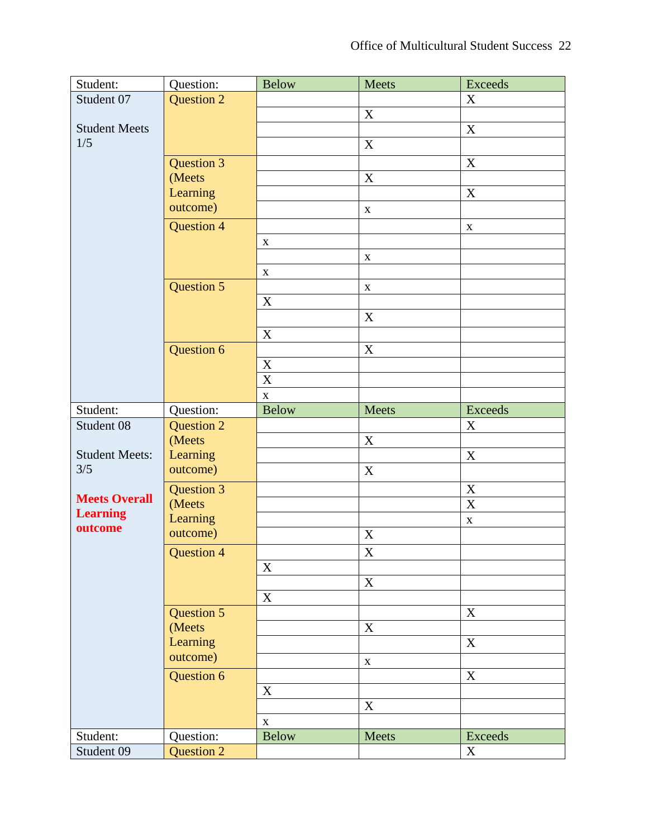| Student:              | Question:         | <b>Below</b>              | Meets                     | <b>Exceeds</b> |
|-----------------------|-------------------|---------------------------|---------------------------|----------------|
| Student 07            | <b>Question 2</b> |                           |                           | X              |
|                       |                   |                           | $\boldsymbol{\mathrm{X}}$ |                |
| <b>Student Meets</b>  |                   |                           |                           | X              |
| 1/5                   |                   |                           | $\mathbf X$               |                |
|                       | Question 3        |                           |                           | X              |
|                       | (Meets            |                           | $\mathbf X$               |                |
|                       | Learning          |                           |                           | $\mathbf X$    |
|                       | outcome)          |                           | $\mathbf X$               |                |
|                       | <b>Question 4</b> |                           |                           | $\mathbf X$    |
|                       |                   | $\mathbf X$               |                           |                |
|                       |                   |                           | $\mathbf X$               |                |
|                       |                   | $\mathbf X$               |                           |                |
|                       | Question 5        |                           | $\mathbf X$               |                |
|                       |                   | $\mathbf X$               |                           |                |
|                       |                   |                           | $\mathbf X$               |                |
|                       |                   | $\boldsymbol{\mathrm{X}}$ |                           |                |
|                       | Question 6        |                           | $\mathbf X$               |                |
|                       |                   | $\mathbf X$               |                           |                |
|                       |                   | $\overline{\textbf{X}}$   |                           |                |
|                       |                   | $\mathbf X$               |                           |                |
| Student:              | Question:         | <b>Below</b>              | Meets                     | <b>Exceeds</b> |
| Student 08            | <b>Question 2</b> |                           |                           | X              |
|                       | (Meets            |                           | X                         |                |
| <b>Student Meets:</b> | Learning          |                           |                           | $\mathbf X$    |
| 3/5                   | outcome)          |                           | X                         |                |
|                       | Question 3        |                           |                           | $\mathbf X$    |
| <b>Meets Overall</b>  | (Meets            |                           |                           | $\mathbf X$    |
| <b>Learning</b>       | Learning          |                           |                           | $\mathbf X$    |
| outcome               | outcome)          |                           | X                         |                |
|                       | Question 4        |                           | $\boldsymbol{\mathrm{X}}$ |                |
|                       |                   | X                         |                           |                |
|                       |                   |                           | $\mathbf X$               |                |
|                       |                   | $\mathbf X$               |                           |                |
|                       | Question 5        |                           |                           | X              |
|                       | (Meets            |                           | $\boldsymbol{\mathrm{X}}$ |                |
|                       | Learning          |                           |                           | $\mathbf X$    |
|                       | outcome)          |                           | $\mathbf X$               |                |
|                       | Question 6        |                           |                           | $\mathbf X$    |
|                       |                   | $\mathbf X$               |                           |                |
|                       |                   |                           | X                         |                |
|                       |                   | $\mathbf X$               |                           |                |
| Student:              | Question:         | <b>Below</b>              | Meets                     | Exceeds        |
| Student 09            | <b>Question 2</b> |                           |                           | X              |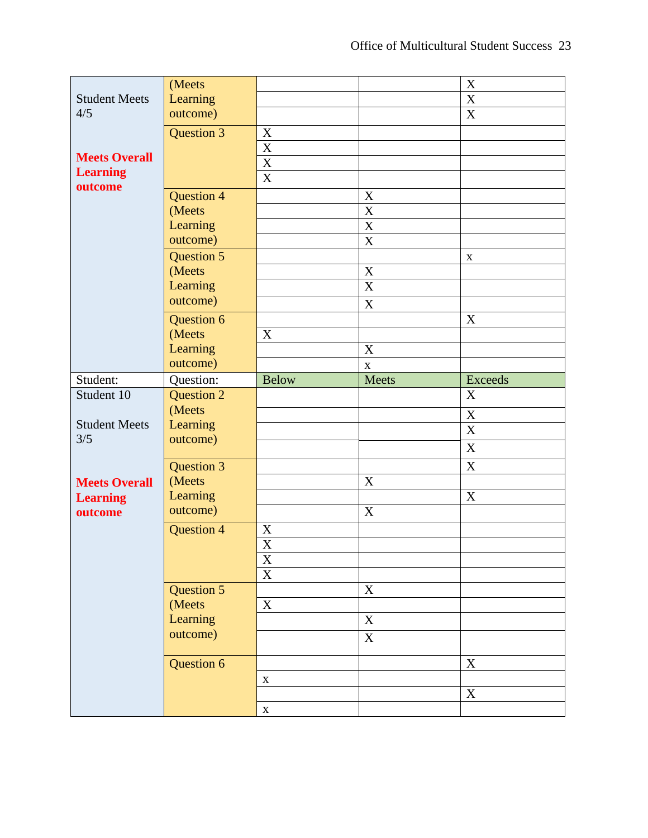|                             | (Meets                      |                           |                           | $\mathbf X$    |
|-----------------------------|-----------------------------|---------------------------|---------------------------|----------------|
| <b>Student Meets</b><br>4/5 | Learning                    |                           |                           | $\overline{X}$ |
|                             | outcome)                    |                           |                           | $\mathbf X$    |
|                             | Question 3                  | $\mathbf X$               |                           |                |
|                             |                             | $\overline{\textbf{X}}$   |                           |                |
| <b>Meets Overall</b>        |                             | $\overline{\text{X}}$     |                           |                |
| <b>Learning</b>             |                             | $\overline{X}$            |                           |                |
| outcome                     | <b>Question 4</b>           |                           | $\boldsymbol{\mathrm{X}}$ |                |
|                             | (Meets                      |                           | X                         |                |
|                             | Learning                    |                           | $\overline{\text{X}}$     |                |
|                             | outcome)                    |                           | $\mathbf X$               |                |
|                             | <b>Question 5</b>           |                           |                           | $\mathbf X$    |
|                             | (Meets                      |                           | $\boldsymbol{\mathrm{X}}$ |                |
|                             | Learning                    |                           | $\mathbf X$               |                |
|                             | outcome)                    |                           | $\mathbf X$               |                |
|                             | Question 6                  |                           |                           | X              |
|                             | (Meets                      | $\mathbf X$               |                           |                |
|                             | Learning                    |                           | $\boldsymbol{X}$          |                |
|                             | outcome)                    |                           | $\mathbf X$               |                |
| Student:                    | Question:                   | <b>Below</b>              | <b>Meets</b>              | <b>Exceeds</b> |
|                             |                             |                           |                           |                |
| Student 10                  | <b>Question 2</b>           |                           |                           | X              |
|                             | (Meets                      |                           |                           | $\mathbf X$    |
| <b>Student Meets</b>        | Learning                    |                           |                           | $\overline{X}$ |
| 3/5                         | outcome)                    |                           |                           | X              |
|                             |                             |                           |                           | $\mathbf X$    |
| <b>Meets Overall</b>        | <b>Question 3</b><br>(Meets |                           | $\boldsymbol{\mathrm{X}}$ |                |
| <b>Learning</b>             | Learning                    |                           |                           | X              |
| outcome                     | outcome)                    |                           | $\mathbf X$               |                |
|                             | <b>Question 4</b>           | $\boldsymbol{\mathrm{X}}$ |                           |                |
|                             |                             | $\overline{\mathbf{X}}$   |                           |                |
|                             |                             | $\mathbf X$               |                           |                |
|                             |                             | $\mathbf X$               |                           |                |
|                             | <b>Question 5</b>           |                           | $\mathbf X$               |                |
|                             | (Meets                      | X                         |                           |                |
|                             | Learning                    |                           | $\boldsymbol{\mathrm{X}}$ |                |
|                             | outcome)                    |                           | $\boldsymbol{\mathrm{X}}$ |                |
|                             |                             |                           |                           |                |
|                             | Question 6                  |                           |                           | X              |
|                             |                             | $\mathbf X$               |                           | X              |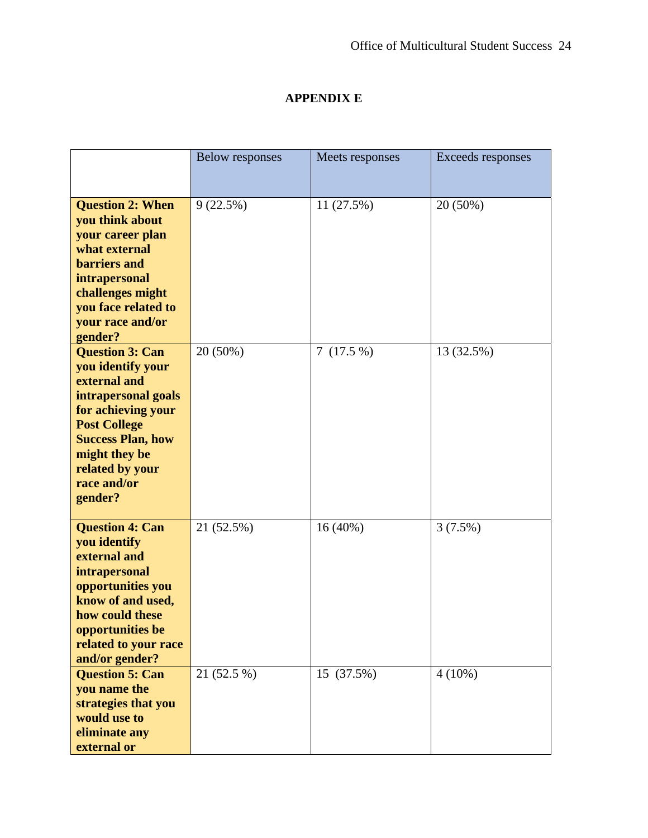## **APPENDIX E**

|                                                                                                                                                                                                                           | <b>Below responses</b> | Meets responses | Exceeds responses |
|---------------------------------------------------------------------------------------------------------------------------------------------------------------------------------------------------------------------------|------------------------|-----------------|-------------------|
|                                                                                                                                                                                                                           |                        |                 |                   |
| <b>Question 2: When</b><br>you think about<br>your career plan<br>what external<br><b>barriers</b> and<br>intrapersonal<br>challenges might<br>you face related to<br>your race and/or<br>gender?                         | 9(22.5%)               | 11(27.5%)       | 20 (50%)          |
| <b>Question 3: Can</b><br>you identify your<br>external and<br>intrapersonal goals<br>for achieving your<br><b>Post College</b><br><b>Success Plan, how</b><br>might they be<br>related by your<br>race and/or<br>gender? | 20 (50%)               | 7(17.5%)        | 13 (32.5%)        |
| <b>Question 4: Can</b><br>you identify<br>external and<br>intrapersonal<br>opportunities you<br>know of and used,<br>how could these<br>opportunities be<br>related to your race<br>and/or gender?                        | 21 (52.5%)             | $16(40\%)$      | 3(7.5%)           |
| <b>Question 5: Can</b><br>you name the<br>strategies that you<br>would use to<br>eliminate any<br>external or                                                                                                             | 21 (52.5 %)            | 15 (37.5%)      | $4(10\%)$         |